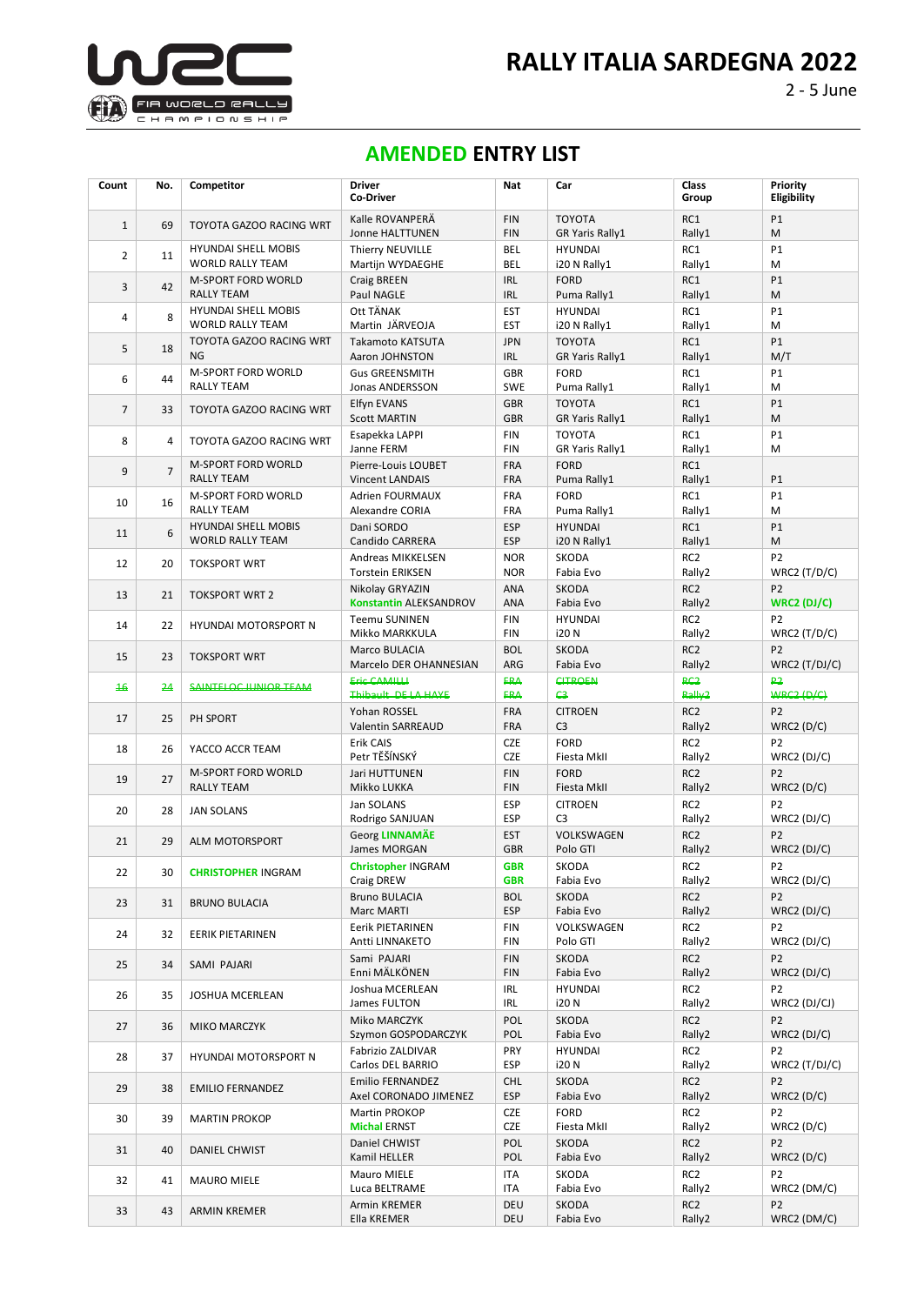

2 - 5 June

## **AMENDED ENTRY LIST**

| Count          | No.            | Competitor                                         | <b>Driver</b><br><b>Co-Driver</b>                              | <b>Nat</b>                             | Car                                     | Class<br>Group                        | Priority<br>Eligibility                           |
|----------------|----------------|----------------------------------------------------|----------------------------------------------------------------|----------------------------------------|-----------------------------------------|---------------------------------------|---------------------------------------------------|
| $\mathbf{1}$   | 69             | TOYOTA GAZOO RACING WRT                            | Kalle ROVANPERÄ<br>Jonne HALTTUNEN                             | <b>FIN</b><br><b>FIN</b>               | <b>TOYOTA</b><br><b>GR Yaris Rally1</b> | RC1<br>Rally1                         | P1<br>M                                           |
| $\overline{2}$ | 11             | HYUNDAI SHELL MOBIS<br><b>WORLD RALLY TEAM</b>     | Thierry NEUVILLE<br>Martijn WYDAEGHE                           | <b>BEL</b><br><b>BEL</b>               | <b>HYUNDAI</b><br>i20 N Rally1          | RC1<br>Rally1                         | <b>P1</b><br>M                                    |
| 3              | 42             | <b>M-SPORT FORD WORLD</b><br><b>RALLY TEAM</b>     | Craig BREEN<br>Paul NAGLE                                      | <b>IRL</b><br><b>IRL</b>               | <b>FORD</b><br>Puma Rally1              | RC1<br>Rally1                         | P1<br>M                                           |
| 4              | 8              | <b>HYUNDAI SHELL MOBIS</b>                         | Ott TÄNAK                                                      | <b>EST</b>                             | <b>HYUNDAI</b>                          | RC1                                   | P1                                                |
|                |                | <b>WORLD RALLY TEAM</b><br>TOYOTA GAZOO RACING WRT | Martin JÄRVEOJA<br>Takamoto KATSUTA                            | <b>EST</b><br><b>JPN</b>               | i20 N Rally1<br><b>TOYOTA</b>           | Rally1<br>RC1                         | M<br>P1                                           |
| 5              | 18             | <b>NG</b>                                          | Aaron JOHNSTON                                                 | <b>IRL</b>                             | GR Yaris Rally1                         | Rally1                                | M/T                                               |
| 6              | 44             | <b>M-SPORT FORD WORLD</b><br><b>RALLY TEAM</b>     | <b>Gus GREENSMITH</b><br><b>Jonas ANDERSSON</b>                | GBR<br>SWE                             | <b>FORD</b><br>Puma Rally1              | RC1<br>Rally1                         | P1<br>M                                           |
| $\overline{7}$ | 33             | TOYOTA GAZOO RACING WRT                            | <b>Elfyn EVANS</b><br><b>Scott MARTIN</b>                      | <b>GBR</b><br><b>GBR</b>               | <b>TOYOTA</b><br>GR Yaris Rally1        | RC1<br>Rally1                         | P1<br>M                                           |
| 8              | 4              | TOYOTA GAZOO RACING WRT                            | Esapekka LAPPI<br>Janne FERM                                   | <b>FIN</b><br><b>FIN</b>               | <b>TOYOTA</b><br>GR Yaris Rally1        | RC1<br>Rally1                         | P1<br>M                                           |
| 9              | $\overline{7}$ | <b>M-SPORT FORD WORLD</b><br><b>RALLY TEAM</b>     | Pierre-Louis LOUBET<br><b>Vincent LANDAIS</b>                  | FRA<br>FRA                             | <b>FORD</b><br>Puma Rally1              | RC1<br>Rally1                         | P1                                                |
| 10             | 16             | <b>M-SPORT FORD WORLD</b><br><b>RALLY TEAM</b>     | Adrien FOURMAUX<br>Alexandre CORIA                             | FRA<br>FRA                             | <b>FORD</b><br>Puma Rally1              | RC1<br>Rally1                         | P1<br>M                                           |
| 11             | 6              | <b>HYUNDAI SHELL MOBIS</b>                         | Dani SORDO                                                     | ESP                                    | <b>HYUNDAI</b>                          | RC1                                   | <b>P1</b>                                         |
|                |                | <b>WORLD RALLY TEAM</b>                            | Candido CARRERA<br>Andreas MIKKELSEN                           | <b>ESP</b><br><b>NOR</b>               | i20 N Rally1<br><b>SKODA</b>            | Rally1<br>RC <sub>2</sub>             | M<br>P <sub>2</sub>                               |
| 12             | 20             | <b>TOKSPORT WRT</b>                                | <b>Torstein ERIKSEN</b>                                        | <b>NOR</b>                             | Fabia Evo                               | Rally2                                | WRC2 $(T/D/C)$                                    |
| 13             | 21             | <b>TOKSPORT WRT 2</b>                              | Nikolay GRYAZIN<br><b>Konstantin ALEKSANDROV</b>               | ANA<br><b>ANA</b>                      | <b>SKODA</b><br>Fabia Evo               | RC <sub>2</sub><br>Rally2             | P <sub>2</sub><br>WRC2(DJ/C)                      |
| 14             | 22             | HYUNDAI MOTORSPORT N                               | <b>Teemu SUNINEN</b><br>Mikko MARKKULA                         | <b>FIN</b><br><b>FIN</b>               | <b>HYUNDAI</b><br>i20 N                 | RC <sub>2</sub><br>Rally2             | P <sub>2</sub><br>WRC2 $(T/D/C)$                  |
| 15             | 23             | <b>TOKSPORT WRT</b>                                | Marco BULACIA                                                  | <b>BOL</b><br>ARG                      | <b>SKODA</b>                            | RC <sub>2</sub>                       | P <sub>2</sub>                                    |
| 46             | 24             | SAINTELOC ILINIOR TEAM                             | Marcelo DER OHANNESIAN<br>Eric CAMILLI                         | <b>ERA</b>                             | Fabia Evo<br><b>CITROEN</b>             | Rally2<br>RG2                         | WRC2 $(T/DJ/C)$<br><b>P2</b>                      |
|                |                |                                                    | Thibault DE LA HAVE<br>Yohan ROSSEL                            | <b>FRA</b><br>FRA                      | ⇔<br><b>CITROEN</b>                     | Rally <sub>2</sub><br>RC <sub>2</sub> | <b>WRC2 (D/G)</b><br>P <sub>2</sub>               |
| 17             | 25             | PH SPORT                                           | Valentin SARREAUD                                              | FRA                                    | C <sub>3</sub>                          | Rally2                                | WRC2(D/C)                                         |
| 18             | 26             | YACCO ACCR TEAM                                    | Erik CAIS<br>Petr TĚŠÍNSKÝ                                     | <b>CZE</b><br><b>CZE</b>               | <b>FORD</b><br>Fiesta MkII              | RC <sub>2</sub><br>Rally2             | P <sub>2</sub><br>$WRC2$ (DJ/C)                   |
| 19             | 27             | <b>M-SPORT FORD WORLD</b><br><b>RALLY TEAM</b>     | Jari HUTTUNEN<br>Mikko LUKKA                                   | <b>FIN</b><br><b>FIN</b>               | <b>FORD</b><br>Fiesta MkII              | RC <sub>2</sub><br>Rally2             | P <sub>2</sub><br>WRC2(D/C)                       |
| 20             | 28             | <b>JAN SOLANS</b>                                  | Jan SOLANS<br>Rodrigo SANJUAN                                  | <b>ESP</b><br><b>ESP</b>               | <b>CITROEN</b><br>C <sub>3</sub>        | RC <sub>2</sub><br>Rally2             | P <sub>2</sub><br>$WRC2$ (DJ/C)                   |
| 21             | 29             | ALM MOTORSPORT                                     | Georg LINNAMÄE                                                 | <b>EST</b>                             | VOLKSWAGEN<br>Polo GTI                  | RC <sub>2</sub>                       | P <sub>2</sub>                                    |
| 22             | 30             | <b>CHRISTOPHER INGRAM</b>                          | James MORGAN<br><b>Christopher INGRAM</b>                      | <b>GBR</b><br><b>GBR</b>               | <b>SKODA</b>                            | Rally2<br>RC <sub>2</sub>             | $WRC2$ (DJ/C)<br>P <sub>2</sub>                   |
|                |                |                                                    | Craig DREW<br><b>Bruno BULACIA</b>                             | <b>GBR</b><br><b>BOL</b>               | Fabia Evo<br>SKODA                      | Rally2<br>RC <sub>2</sub>             | $WRC2$ (DJ/C)<br>P <sub>2</sub>                   |
| 23             | 31             | <b>BRUNO BULACIA</b>                               | Marc MARTI                                                     | ESP                                    | Fabia Evo                               | Rally2                                | WRC2(DJ/C)                                        |
| 24             | 32             | EERIK PIETARINEN                                   | <b>Eerik PIETARINEN</b><br>Antti LINNAKETO                     | <b>FIN</b><br><b>FIN</b>               | VOLKSWAGEN<br>Polo GTI                  | RC <sub>2</sub><br>Rally2             | P <sub>2</sub><br>$WRC2$ (DJ/C)                   |
| 25             | 34             | SAMI PAJARI                                        | Sami PAJARI<br>Enni MÄLKÖNEN                                   | <b>FIN</b><br><b>FIN</b>               | SKODA<br>Fabia Evo                      | RC <sub>2</sub><br>Rally2             | P <sub>2</sub><br>WRC2(DJ/C)                      |
| 26             | 35             | JOSHUA MCERLEAN                                    | Joshua MCERLEAN<br>James FULTON                                | IRL<br>IRL                             | <b>HYUNDAI</b><br>i20 N                 | RC <sub>2</sub><br>Rally2             | P <sub>2</sub><br>WRC2 (DJ/CJ)                    |
| 27             | 36             | MIKO MARCZYK                                       | Miko MARCZYK<br>Szymon GOSPODARCZYK                            | POL<br>POL                             | SKODA<br>Fabia Evo                      | RC <sub>2</sub><br>Rally2             | P <sub>2</sub><br>WRC2(DJ/C)                      |
| 28             | 37             | HYUNDAI MOTORSPORT N                               | Fabrizio ZALDIVAR                                              | PRY                                    | <b>HYUNDAI</b>                          | RC <sub>2</sub>                       | P <sub>2</sub>                                    |
| 29             | 38             | <b>EMILIO FERNANDEZ</b>                            | Carlos DEL BARRIO<br>Emilio FERNANDEZ<br>Axel CORONADO JIMENEZ | <b>ESP</b><br><b>CHL</b><br><b>ESP</b> | i20 N<br>SKODA<br>Fabia Evo             | Rally2<br>RC <sub>2</sub><br>Rally2   | WRC2 $(T/DJ/C)$<br>P <sub>2</sub><br>WRC2 $(D/C)$ |
| 30             | 39             | <b>MARTIN PROKOP</b>                               | Martin PROKOP                                                  | CZE                                    | <b>FORD</b>                             | RC <sub>2</sub>                       | P <sub>2</sub>                                    |
|                |                |                                                    | <b>Michal ERNST</b><br>Daniel CHWIST                           | CZE<br>POL                             | Fiesta MkII<br>SKODA                    | Rally2<br>RC <sub>2</sub>             | WRC2(D/C)<br>P <sub>2</sub>                       |
| 31             | 40             | DANIEL CHWIST                                      | Kamil HELLER                                                   | POL                                    | Fabia Evo                               | Rally2                                | WRC2 $(D/C)$                                      |
| 32             | 41             | <b>MAURO MIELE</b>                                 | Mauro MIELE<br>Luca BELTRAME                                   | ITA<br>ITA                             | SKODA<br>Fabia Evo                      | RC <sub>2</sub><br>Rally2             | P <sub>2</sub><br>WRC2 (DM/C)                     |
| 33             | 43             | <b>ARMIN KREMER</b>                                | Armin KREMER<br>Ella KREMER                                    | DEU<br>DEU                             | SKODA<br>Fabia Evo                      | RC <sub>2</sub><br>Rally2             | P <sub>2</sub><br>WRC2 (DM/C)                     |